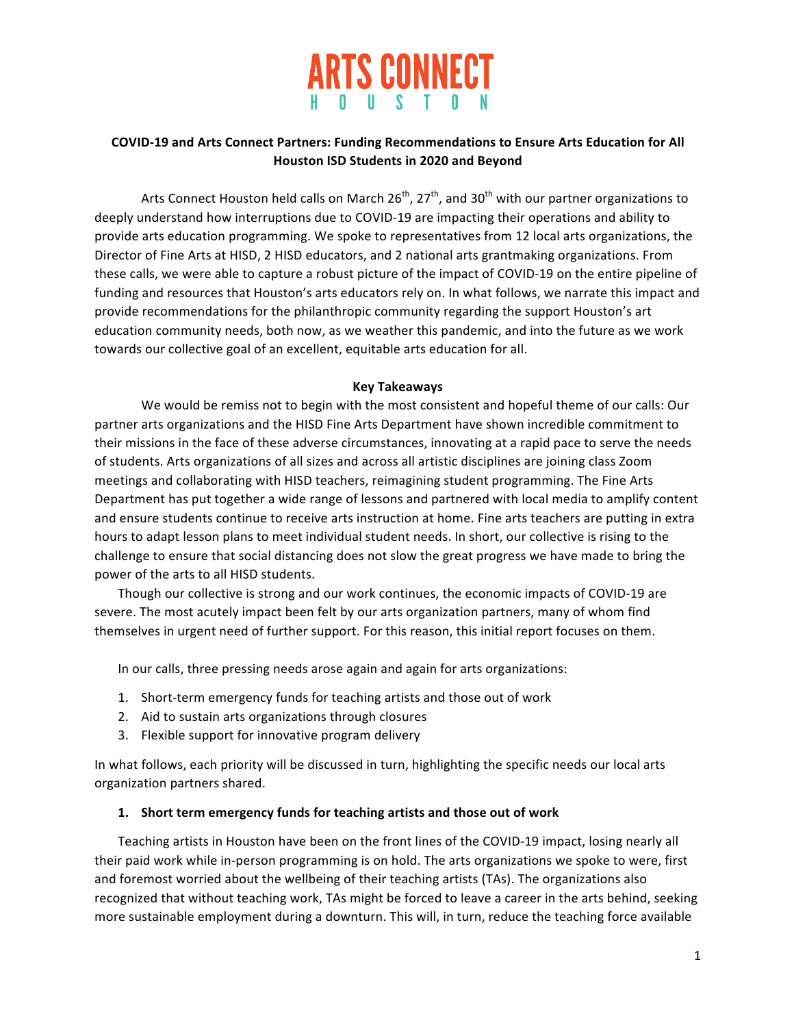

## COVID-19 and Arts Connect Partners: Funding Recommendations to Ensure Arts Education for All **Houston ISD Students in 2020 and Beyond**

Arts Connect Houston held calls on March  $26^{th}$ ,  $27^{th}$ , and  $30^{th}$  with our partner organizations to deeply understand how interruptions due to COVID-19 are impacting their operations and ability to provide arts education programming. We spoke to representatives from 12 local arts organizations, the Director of Fine Arts at HISD, 2 HISD educators, and 2 national arts grantmaking organizations. From these calls, we were able to capture a robust picture of the impact of COVID-19 on the entire pipeline of funding and resources that Houston's arts educators rely on. In what follows, we narrate this impact and provide recommendations for the philanthropic community regarding the support Houston's art education community needs, both now, as we weather this pandemic, and into the future as we work towards our collective goal of an excellent, equitable arts education for all.

### **Key Takeaways**

We would be remiss not to begin with the most consistent and hopeful theme of our calls: Our partner arts organizations and the HISD Fine Arts Department have shown incredible commitment to their missions in the face of these adverse circumstances, innovating at a rapid pace to serve the needs of students. Arts organizations of all sizes and across all artistic disciplines are joining class Zoom meetings and collaborating with HISD teachers, reimagining student programming. The Fine Arts Department has put together a wide range of lessons and partnered with local media to amplify content and ensure students continue to receive arts instruction at home. Fine arts teachers are putting in extra hours to adapt lesson plans to meet individual student needs. In short, our collective is rising to the challenge to ensure that social distancing does not slow the great progress we have made to bring the power of the arts to all HISD students.

Though our collective is strong and our work continues, the economic impacts of COVID-19 are severe. The most acutely impact been felt by our arts organization partners, many of whom find themselves in urgent need of further support. For this reason, this initial report focuses on them.

In our calls, three pressing needs arose again and again for arts organizations:

- 1. Short-term emergency funds for teaching artists and those out of work
- 2. Aid to sustain arts organizations through closures
- 3. Flexible support for innovative program delivery

In what follows, each priority will be discussed in turn, highlighting the specific needs our local arts organization partners shared.

#### 1. Short term emergency funds for teaching artists and those out of work

Teaching artists in Houston have been on the front lines of the COVID-19 impact, losing nearly all their paid work while in-person programming is on hold. The arts organizations we spoke to were, first and foremost worried about the wellbeing of their teaching artists (TAs). The organizations also recognized that without teaching work, TAs might be forced to leave a career in the arts behind, seeking more sustainable employment during a downturn. This will, in turn, reduce the teaching force available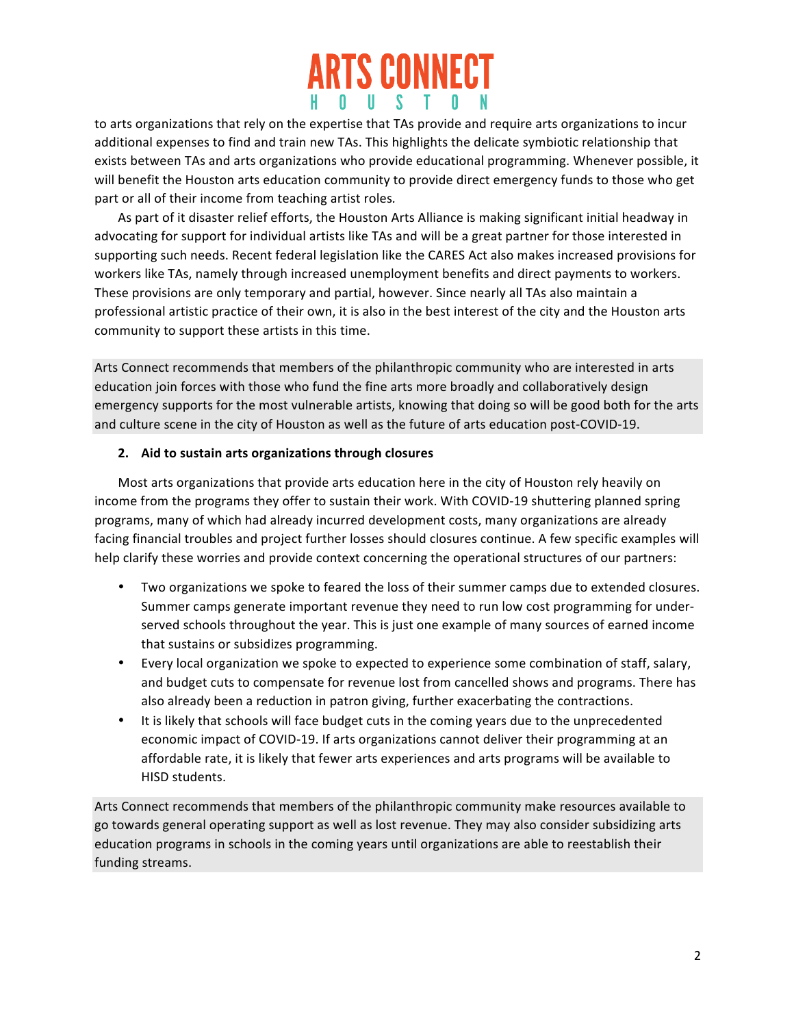# **ARTS CONNECT** H O U S T O

to arts organizations that rely on the expertise that TAs provide and require arts organizations to incur additional expenses to find and train new TAs. This highlights the delicate symbiotic relationship that exists between TAs and arts organizations who provide educational programming. Whenever possible, it will benefit the Houston arts education community to provide direct emergency funds to those who get part or all of their income from teaching artist roles.

As part of it disaster relief efforts, the Houston Arts Alliance is making significant initial headway in advocating for support for individual artists like TAs and will be a great partner for those interested in supporting such needs. Recent federal legislation like the CARES Act also makes increased provisions for workers like TAs, namely through increased unemployment benefits and direct payments to workers. These provisions are only temporary and partial, however. Since nearly all TAs also maintain a professional artistic practice of their own, it is also in the best interest of the city and the Houston arts community to support these artists in this time.

Arts Connect recommends that members of the philanthropic community who are interested in arts education join forces with those who fund the fine arts more broadly and collaboratively design emergency supports for the most vulnerable artists, knowing that doing so will be good both for the arts and culture scene in the city of Houston as well as the future of arts education post-COVID-19.

## **2. Aid to sustain arts organizations through closures**

Most arts organizations that provide arts education here in the city of Houston rely heavily on income from the programs they offer to sustain their work. With COVID-19 shuttering planned spring programs, many of which had already incurred development costs, many organizations are already facing financial troubles and project further losses should closures continue. A few specific examples will help clarify these worries and provide context concerning the operational structures of our partners:

- Two organizations we spoke to feared the loss of their summer camps due to extended closures. Summer camps generate important revenue they need to run low cost programming for underserved schools throughout the year. This is just one example of many sources of earned income that sustains or subsidizes programming.
- Every local organization we spoke to expected to experience some combination of staff, salary, and budget cuts to compensate for revenue lost from cancelled shows and programs. There has also already been a reduction in patron giving, further exacerbating the contractions.
- It is likely that schools will face budget cuts in the coming years due to the unprecedented economic impact of COVID-19. If arts organizations cannot deliver their programming at an affordable rate, it is likely that fewer arts experiences and arts programs will be available to HISD students.

Arts Connect recommends that members of the philanthropic community make resources available to go towards general operating support as well as lost revenue. They may also consider subsidizing arts education programs in schools in the coming years until organizations are able to reestablish their funding streams.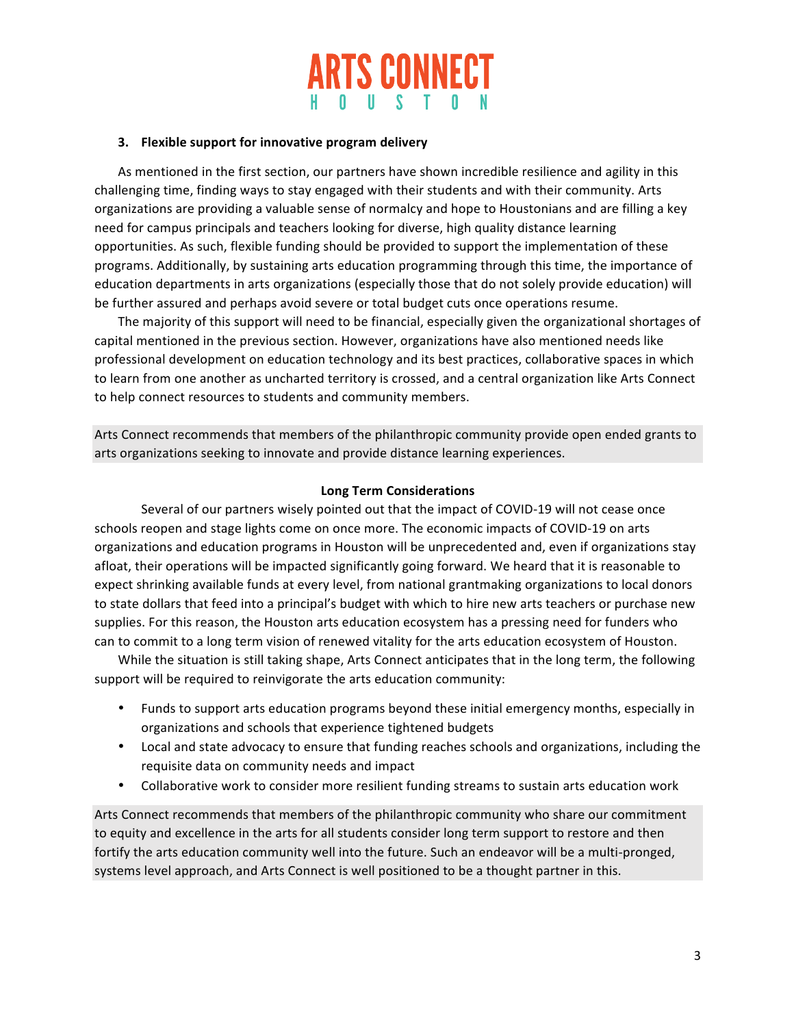

#### **3.** Flexible support for innovative program delivery

As mentioned in the first section, our partners have shown incredible resilience and agility in this challenging time, finding ways to stay engaged with their students and with their community. Arts organizations are providing a valuable sense of normalcy and hope to Houstonians and are filling a key need for campus principals and teachers looking for diverse, high quality distance learning opportunities. As such, flexible funding should be provided to support the implementation of these programs. Additionally, by sustaining arts education programming through this time, the importance of education departments in arts organizations (especially those that do not solely provide education) will be further assured and perhaps avoid severe or total budget cuts once operations resume.

The majority of this support will need to be financial, especially given the organizational shortages of capital mentioned in the previous section. However, organizations have also mentioned needs like professional development on education technology and its best practices, collaborative spaces in which to learn from one another as uncharted territory is crossed, and a central organization like Arts Connect to help connect resources to students and community members.

Arts Connect recommends that members of the philanthropic community provide open ended grants to arts organizations seeking to innovate and provide distance learning experiences.

#### **Long Term Considerations**

Several of our partners wisely pointed out that the impact of COVID-19 will not cease once schools reopen and stage lights come on once more. The economic impacts of COVID-19 on arts organizations and education programs in Houston will be unprecedented and, even if organizations stay afloat, their operations will be impacted significantly going forward. We heard that it is reasonable to expect shrinking available funds at every level, from national grantmaking organizations to local donors to state dollars that feed into a principal's budget with which to hire new arts teachers or purchase new supplies. For this reason, the Houston arts education ecosystem has a pressing need for funders who can to commit to a long term vision of renewed vitality for the arts education ecosystem of Houston.

While the situation is still taking shape, Arts Connect anticipates that in the long term, the following support will be required to reinvigorate the arts education community:

- Funds to support arts education programs beyond these initial emergency months, especially in organizations and schools that experience tightened budgets
- Local and state advocacy to ensure that funding reaches schools and organizations, including the requisite data on community needs and impact
- Collaborative work to consider more resilient funding streams to sustain arts education work

Arts Connect recommends that members of the philanthropic community who share our commitment to equity and excellence in the arts for all students consider long term support to restore and then fortify the arts education community well into the future. Such an endeavor will be a multi-pronged, systems level approach, and Arts Connect is well positioned to be a thought partner in this.